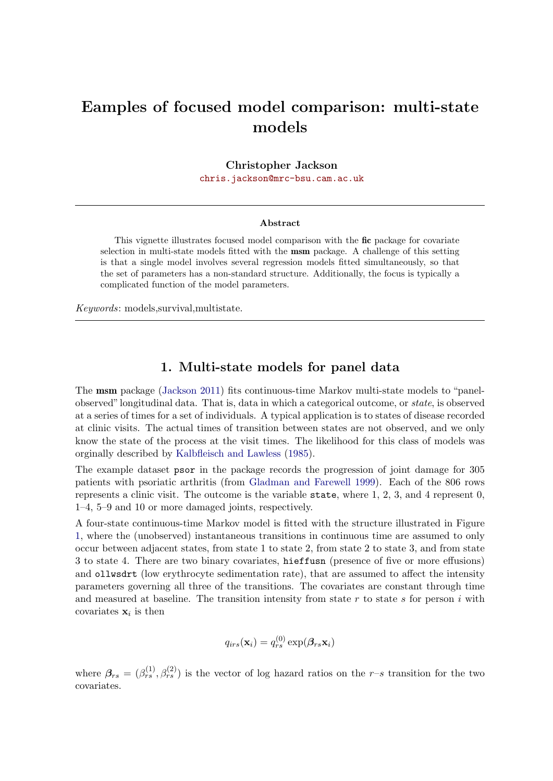# Eamples of focused model comparison: multi-state models

Christopher Jackson

[chris.jackson@mrc-bsu.cam.ac.uk](mailto:chris.jackson@mrc-bsu.cam.ac.uk)

#### Abstract

This vignette illustrates focused model comparison with the fic package for covariate selection in multi-state models fitted with the msm package. A challenge of this setting is that a single model involves several regression models fitted simultaneously, so that the set of parameters has a non-standard structure. Additionally, the focus is typically a complicated function of the model parameters.

Keywords: models,survival,multistate.

#### 1. Multi-state models for panel data

The msm package [\(Jackson](#page-4-0) [2011\)](#page-4-0) fits continuous-time Markov multi-state models to "panelobserved"longitudinal data. That is, data in which a categorical outcome, or state, is observed at a series of times for a set of individuals. A typical application is to states of disease recorded at clinic visits. The actual times of transition between states are not observed, and we only know the state of the process at the visit times. The likelihood for this class of models was orginally described by [Kalbfleisch and Lawless](#page-4-1) [\(1985\)](#page-4-1).

The example dataset psor in the package records the progression of joint damage for 305 patients with psoriatic arthritis (from [Gladman and Farewell](#page-4-2) [1999\)](#page-4-2). Each of the 806 rows represents a clinic visit. The outcome is the variable state, where 1, 2, 3, and 4 represent 0, 1–4, 5–9 and 10 or more damaged joints, respectively.

A four-state continuous-time Markov model is fitted with the structure illustrated in Figure [1,](#page-1-0) where the (unobserved) instantaneous transitions in continuous time are assumed to only occur between adjacent states, from state 1 to state 2, from state 2 to state 3, and from state 3 to state 4. There are two binary covariates, hieffusn (presence of five or more effusions) and ollwsdrt (low erythrocyte sedimentation rate), that are assumed to affect the intensity parameters governing all three of the transitions. The covariates are constant through time and measured at baseline. The transition intensity from state r to state s for person i with covariates  $x_i$  is then

$$
q_{irs}(\mathbf{x}_i) = q_{rs}^{(0)} \exp(\boldsymbol{\beta}_{rs} \mathbf{x}_i)
$$

where  $\beta_{rs} = (\beta_{rs}^{(1)}, \beta_{rs}^{(2)})$  is the vector of log hazard ratios on the r-s transition for the two covariates.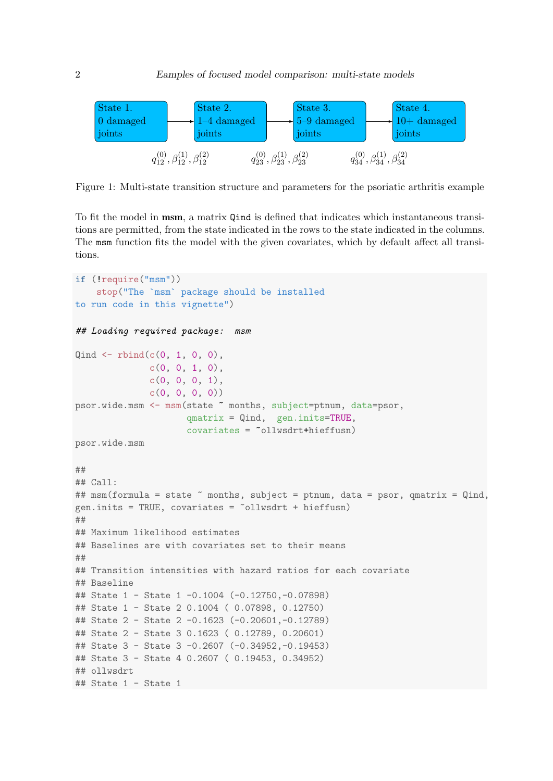

<span id="page-1-0"></span>Figure 1: Multi-state transition structure and parameters for the psoriatic arthritis example

To fit the model in msm, a matrix Qind is defined that indicates which instantaneous transitions are permitted, from the state indicated in the rows to the state indicated in the columns. The msm function fits the model with the given covariates, which by default affect all transitions.

```
if (!require("msm"))
    stop("The `msm` package should be installed
to run code in this vignette")
## Loading required package: msm
Qind \leftarrow \text{rbind}(c(0, 1, 0, 0)),c(0, 0, 1, 0),
              c(0, 0, 0, 1),
              c(0, 0, 0, 0)psor.wide.msm <- msm(state ~ months, subject=ptnum, data=psor,
                      qmatrix = Qind, gen.inits=TRUE,
                      covariates = \text{``ollwsdrt+hieffusn)}psor.wide.msm
##
## Call:
## msm(formula = state ~ months, subject = ptnum, data = psor, qmatrix = Qind,
gen.inits = TRUE, covariates = \simollwsdrt + hieffusn)
##
## Maximum likelihood estimates
## Baselines are with covariates set to their means
##
## Transition intensities with hazard ratios for each covariate
## Baseline
## State 1 - State 1 -0.1004 (-0.12750,-0.07898)
## State 1 - State 2 0.1004 ( 0.07898, 0.12750)
## State 2 - State 2 -0.1623 (-0.20601,-0.12789)
## State 2 - State 3 0.1623 ( 0.12789, 0.20601)
## State 3 - State 3 -0.2607 (-0.34952,-0.19453)
## State 3 - State 4 0.2607 ( 0.19453, 0.34952)
## ollwsdrt
\# State 1 - State 1
```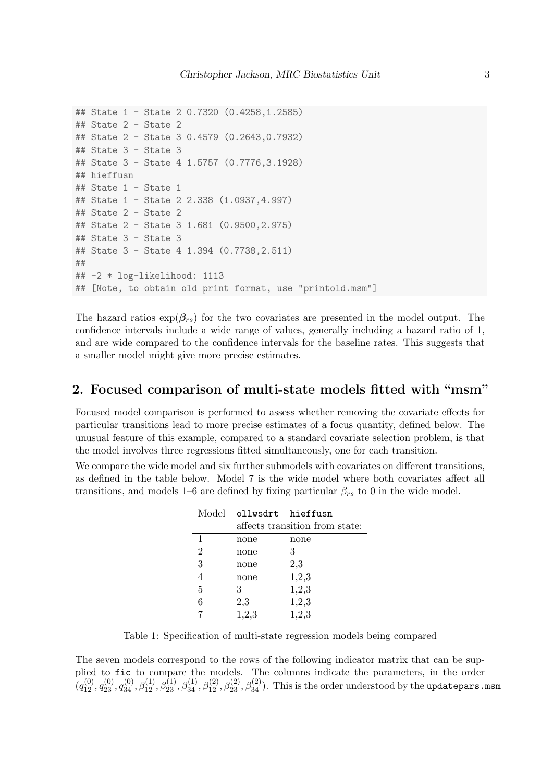```
## State 1 - State 2 0.7320 (0.4258,1.2585)
## State 2 - State 2
## State 2 - State 3 0.4579 (0.2643,0.7932)
## State 3 - State 3
## State 3 - State 4 1.5757 (0.7776,3.1928)
## hieffusn
## State 1 - State 1
## State 1 - State 2 2.338 (1.0937,4.997)
## State 2 - State 2
## State 2 - State 3 1.681 (0.9500,2.975)
## State 3 - State 3
## State 3 - State 4 1.394 (0.7738,2.511)
##
## -2 * log-likelihood: 1113
## [Note, to obtain old print format, use "printold.msm"]
```
The hazard ratios  $\exp(\beta_{rs})$  for the two covariates are presented in the model output. The confidence intervals include a wide range of values, generally including a hazard ratio of 1, and are wide compared to the confidence intervals for the baseline rates. This suggests that a smaller model might give more precise estimates.

### 2. Focused comparison of multi-state models fitted with "msm"

Focused model comparison is performed to assess whether removing the covariate effects for particular transitions lead to more precise estimates of a focus quantity, defined below. The unusual feature of this example, compared to a standard covariate selection problem, is that the model involves three regressions fitted simultaneously, one for each transition.

We compare the wide model and six further submodels with covariates on different transitions, as defined in the table below. Model 7 is the wide model where both covariates affect all transitions, and models 1–6 are defined by fixing particular  $\beta_{rs}$  to 0 in the wide model.

|                | Model ollwsdrt hieffusn        |       |
|----------------|--------------------------------|-------|
|                | affects transition from state: |       |
| 1              | none                           | none  |
| $\overline{2}$ | none                           | 3     |
| 3              | none                           | 2,3   |
| 4              | none                           | 1,2,3 |
| 5              | З                              | 1,2,3 |
| 6              | 2,3                            | 1,2,3 |
|                | 1,2,3                          | 1,2,3 |

Table 1: Specification of multi-state regression models being compared

The seven models correspond to the rows of the following indicator matrix that can be supplied to fic to compare the models. The columns indicate the parameters, in the order  $(q_{12}^{(0)}, q_{23}^{(0)}, q_{34}^{(0)}, \beta_{12}^{(1)}, \beta_{23}^{(1)}, \beta_{34}^{(2)}, \beta_{23}^{(2)}, \beta_{23}^{(2)}, \beta_{34}^{(2)})$ . This is the order understood by the updatepars.msm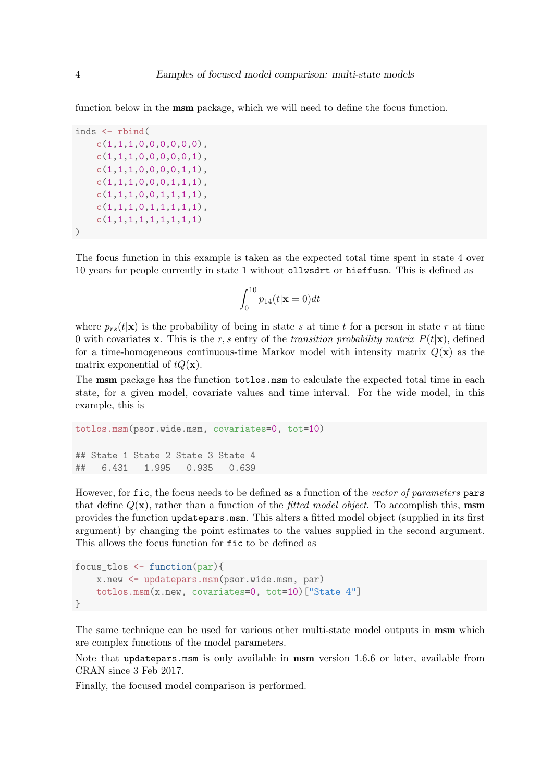function below in the msm package, which we will need to define the focus function.

```
inds <- rbind(
   c(1,1,1,0,0,0,0,0,0),
   c(1,1,1,0,0,0,0,0,1),
   c(1,1,1,0,0,0,0,1,1),
   c(1,1,1,0,0,0,1,1,1),
   c(1,1,1,0,0,1,1,1,1),c(1,1,1,0,1,1,1,1,1),
   c(1,1,1,1,1,1,1,1,1,1))
```
The focus function in this example is taken as the expected total time spent in state 4 over 10 years for people currently in state 1 without ollwsdrt or hieffusn. This is defined as

$$
\int_0^{10} p_{14}(t|\mathbf{x}=0)dt
$$

where  $p_{rs}(t|\mathbf{x})$  is the probability of being in state s at time t for a person in state r at time 0 with covariates x. This is the r, s entry of the transition probability matrix  $P(t|\mathbf{x})$ , defined for a time-homogeneous continuous-time Markov model with intensity matrix  $Q(\mathbf{x})$  as the matrix exponential of  $tQ(\mathbf{x})$ .

The msm package has the function totlos.msm to calculate the expected total time in each state, for a given model, covariate values and time interval. For the wide model, in this example, this is

```
totlos.msm(psor.wide.msm, covariates=0, tot=10)
## State 1 State 2 State 3 State 4
## 6.431 1.995 0.935 0.639
```
However, for fic, the focus needs to be defined as a function of the vector of parameters pars that define  $Q(\mathbf{x})$ , rather than a function of the *fitted model object*. To accomplish this, **msm** provides the function updatepars.msm. This alters a fitted model object (supplied in its first argument) by changing the point estimates to the values supplied in the second argument. This allows the focus function for fic to be defined as

```
focus_tlos <- function(par){
    x.new <- updatepars.msm(psor.wide.msm, par)
    totlos.msm(x.new, covariates=0, tot=10)["State 4"]
}
```
The same technique can be used for various other multi-state model outputs in msm which are complex functions of the model parameters.

Note that updatepars.msm is only available in msm version 1.6.6 or later, available from CRAN since 3 Feb 2017.

Finally, the focused model comparison is performed.